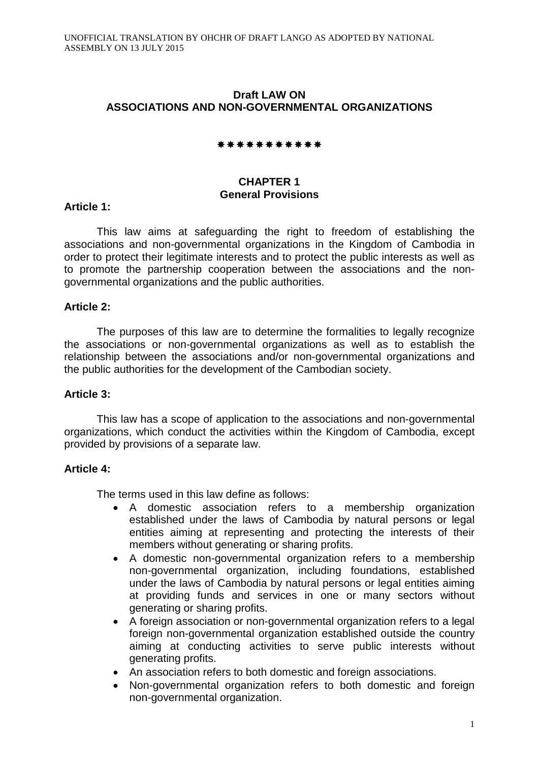## **Draft LAW ON ASSOCIATIONS AND NON-GOVERNMENTAL ORGANIZATIONS**

#### \*\*\*\*\*\*\*\*\*\*\*

## **CHAPTER 1 General Provisions**

## **Article 1:**

This law aims at safeguarding the right to freedom of establishing the associations and non-governmental organizations in the Kingdom of Cambodia in order to protect their legitimate interests and to protect the public interests as well as to promote the partnership cooperation between the associations and the nongovernmental organizations and the public authorities.

## **Article 2:**

The purposes of this law are to determine the formalities to legally recognize the associations or non-governmental organizations as well as to establish the relationship between the associations and/or non-governmental organizations and the public authorities for the development of the Cambodian society.

## **Article 3:**

This law has a scope of application to the associations and non-governmental organizations, which conduct the activities within the Kingdom of Cambodia, except provided by provisions of a separate law.

## **Article 4:**

The terms used in this law define as follows:

- A domestic association refers to a membership organization established under the laws of Cambodia by natural persons or legal entities aiming at representing and protecting the interests of their members without generating or sharing profits.
- A domestic non-governmental organization refers to a membership non-governmental organization, including foundations, established under the laws of Cambodia by natural persons or legal entities aiming at providing funds and services in one or many sectors without generating or sharing profits.
- A foreign association or non-governmental organization refers to a legal foreign non-governmental organization established outside the country aiming at conducting activities to serve public interests without generating profits.
- An association refers to both domestic and foreign associations.
- Non-governmental organization refers to both domestic and foreign non-governmental organization.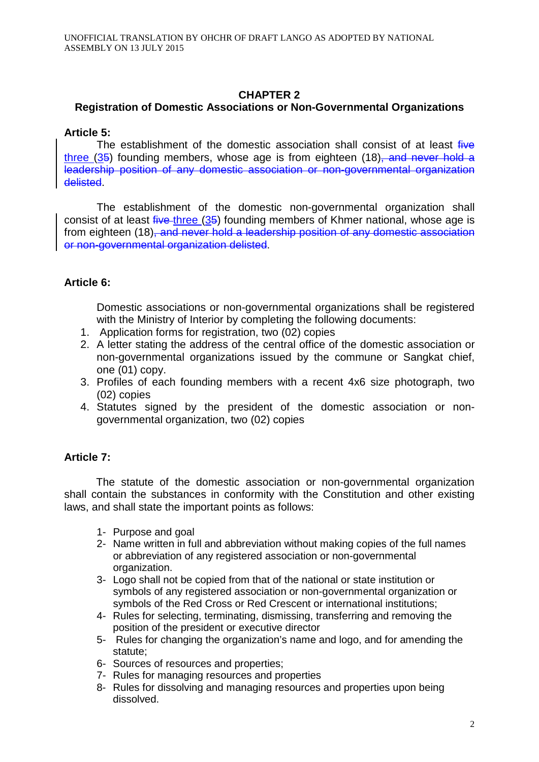## **CHAPTER 2**

## **Registration of Domestic Associations or Non-Governmental Organizations**

## **Article 5:**

The establishment of the domestic association shall consist of at least  $f^2$ three  $(35)$  founding members, whose age is from eighteen  $(18)$ , and never hold a leadership position of any domestic association or non-governmental organization delisted.

The establishment of the domestic non-governmental organization shall consist of at least five three (35) founding members of Khmer national, whose age is from eighteen (18), and never hold a leadership position of any domestic association or non-governmental organization delisted.

# **Article 6:**

Domestic associations or non-governmental organizations shall be registered with the Ministry of Interior by completing the following documents:

- 1. Application forms for registration, two (02) copies
- 2. A letter stating the address of the central office of the domestic association or non-governmental organizations issued by the commune or Sangkat chief, one (01) copy.
- 3. Profiles of each founding members with a recent 4x6 size photograph, two (02) copies
- 4. Statutes signed by the president of the domestic association or nongovernmental organization, two (02) copies

# **Article 7:**

The statute of the domestic association or non-governmental organization shall contain the substances in conformity with the Constitution and other existing laws, and shall state the important points as follows:

- 1- Purpose and goal
- 2- Name written in full and abbreviation without making copies of the full names or abbreviation of any registered association or non-governmental organization.
- 3- Logo shall not be copied from that of the national or state institution or symbols of any registered association or non-governmental organization or symbols of the Red Cross or Red Crescent or international institutions;
- 4- Rules for selecting, terminating, dismissing, transferring and removing the position of the president or executive director
- 5- Rules for changing the organization's name and logo, and for amending the statute;
- 6- Sources of resources and properties;
- 7- Rules for managing resources and properties
- 8- Rules for dissolving and managing resources and properties upon being dissolved.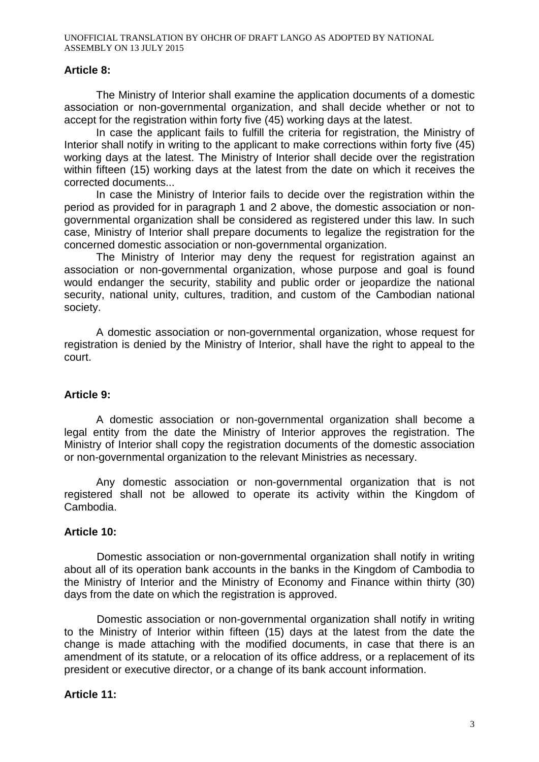## **Article 8:**

The Ministry of Interior shall examine the application documents of a domestic association or non-governmental organization, and shall decide whether or not to accept for the registration within forty five (45) working days at the latest.

In case the applicant fails to fulfill the criteria for registration, the Ministry of Interior shall notify in writing to the applicant to make corrections within forty five (45) working days at the latest. The Ministry of Interior shall decide over the registration within fifteen (15) working days at the latest from the date on which it receives the corrected documents...

In case the Ministry of Interior fails to decide over the registration within the period as provided for in paragraph 1 and 2 above, the domestic association or nongovernmental organization shall be considered as registered under this law. In such case, Ministry of Interior shall prepare documents to legalize the registration for the concerned domestic association or non-governmental organization.

The Ministry of Interior may deny the request for registration against an association or non-governmental organization, whose purpose and goal is found would endanger the security, stability and public order or jeopardize the national security, national unity, cultures, tradition, and custom of the Cambodian national society.

A domestic association or non-governmental organization, whose request for registration is denied by the Ministry of Interior, shall have the right to appeal to the court.

## **Article 9:**

A domestic association or non-governmental organization shall become a legal entity from the date the Ministry of Interior approves the registration. The Ministry of Interior shall copy the registration documents of the domestic association or non-governmental organization to the relevant Ministries as necessary.

Any domestic association or non-governmental organization that is not registered shall not be allowed to operate its activity within the Kingdom of Cambodia.

## **Article 10:**

Domestic association or non-governmental organization shall notify in writing about all of its operation bank accounts in the banks in the Kingdom of Cambodia to the Ministry of Interior and the Ministry of Economy and Finance within thirty (30) days from the date on which the registration is approved.

Domestic association or non-governmental organization shall notify in writing to the Ministry of Interior within fifteen (15) days at the latest from the date the change is made attaching with the modified documents, in case that there is an amendment of its statute, or a relocation of its office address, or a replacement of its president or executive director, or a change of its bank account information.

## **Article 11:**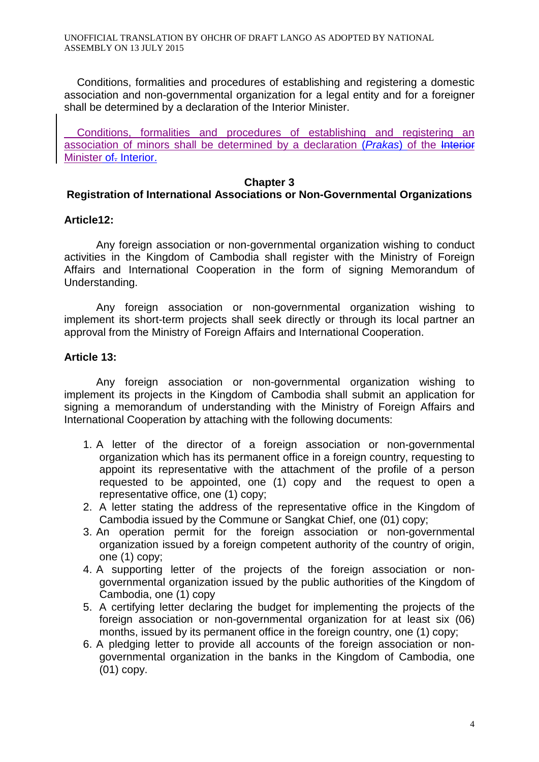Conditions, formalities and procedures of establishing and registering a domestic association and non-governmental organization for a legal entity and for a foreigner shall be determined by a declaration of the Interior Minister.

Conditions, formalities and procedures of establishing and registering an association of minors shall be determined by a declaration (*Prakas*) of the Interior Minister of-Interior.

#### **Chapter 3**

#### **Registration of International Associations or Non-Governmental Organizations**

#### **Article12:**

Any foreign association or non-governmental organization wishing to conduct activities in the Kingdom of Cambodia shall register with the Ministry of Foreign Affairs and International Cooperation in the form of signing Memorandum of Understanding.

Any foreign association or non-governmental organization wishing to implement its short-term projects shall seek directly or through its local partner an approval from the Ministry of Foreign Affairs and International Cooperation.

#### **Article 13:**

Any foreign association or non-governmental organization wishing to implement its projects in the Kingdom of Cambodia shall submit an application for signing a memorandum of understanding with the Ministry of Foreign Affairs and International Cooperation by attaching with the following documents:

- 1. A letter of the director of a foreign association or non-governmental organization which has its permanent office in a foreign country, requesting to appoint its representative with the attachment of the profile of a person requested to be appointed, one (1) copy and the request to open a representative office, one (1) copy;
- 2. A letter stating the address of the representative office in the Kingdom of Cambodia issued by the Commune or Sangkat Chief, one (01) copy;
- 3. An operation permit for the foreign association or non-governmental organization issued by a foreign competent authority of the country of origin, one (1) copy;
- 4. A supporting letter of the projects of the foreign association or nongovernmental organization issued by the public authorities of the Kingdom of Cambodia, one (1) copy
- 5. A certifying letter declaring the budget for implementing the projects of the foreign association or non-governmental organization for at least six (06) months, issued by its permanent office in the foreign country, one (1) copy;
- 6. A pledging letter to provide all accounts of the foreign association or nongovernmental organization in the banks in the Kingdom of Cambodia, one (01) copy.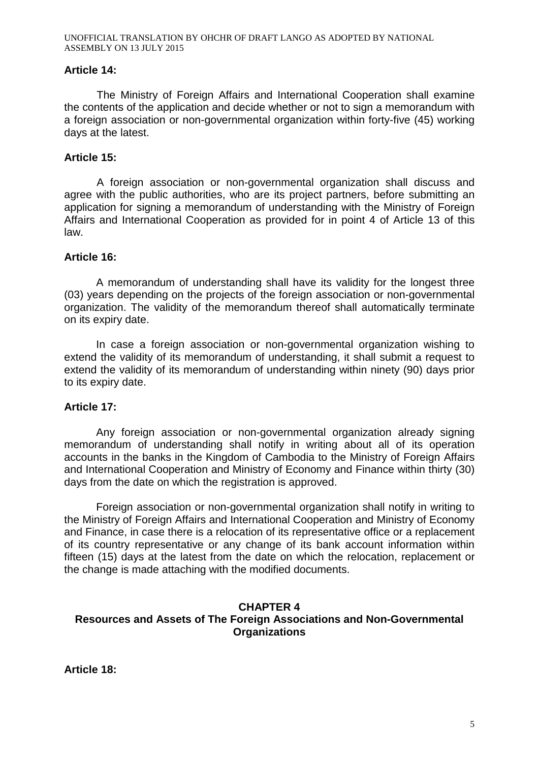## **Article 14:**

The Ministry of Foreign Affairs and International Cooperation shall examine the contents of the application and decide whether or not to sign a memorandum with a foreign association or non-governmental organization within forty-five (45) working days at the latest.

## **Article 15:**

A foreign association or non-governmental organization shall discuss and agree with the public authorities, who are its project partners, before submitting an application for signing a memorandum of understanding with the Ministry of Foreign Affairs and International Cooperation as provided for in point 4 of Article 13 of this law.

## **Article 16:**

A memorandum of understanding shall have its validity for the longest three (03) years depending on the projects of the foreign association or non-governmental organization. The validity of the memorandum thereof shall automatically terminate on its expiry date.

In case a foreign association or non-governmental organization wishing to extend the validity of its memorandum of understanding, it shall submit a request to extend the validity of its memorandum of understanding within ninety (90) days prior to its expiry date.

## **Article 17:**

Any foreign association or non-governmental organization already signing memorandum of understanding shall notify in writing about all of its operation accounts in the banks in the Kingdom of Cambodia to the Ministry of Foreign Affairs and International Cooperation and Ministry of Economy and Finance within thirty (30) days from the date on which the registration is approved.

Foreign association or non-governmental organization shall notify in writing to the Ministry of Foreign Affairs and International Cooperation and Ministry of Economy and Finance, in case there is a relocation of its representative office or a replacement of its country representative or any change of its bank account information within fifteen (15) days at the latest from the date on which the relocation, replacement or the change is made attaching with the modified documents.

## **CHAPTER 4 Resources and Assets of The Foreign Associations and Non-Governmental Organizations**

**Article 18:**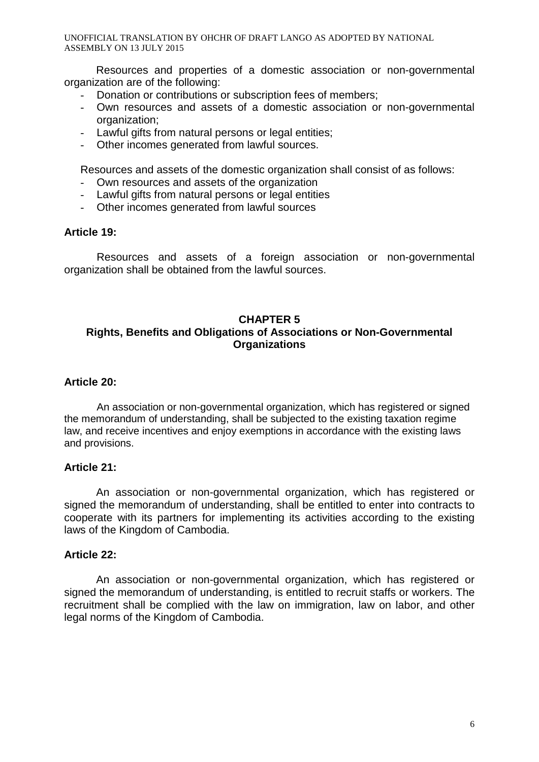UNOFFICIAL TRANSLATION BY OHCHR OF DRAFT LANGO AS ADOPTED BY NATIONAL ASSEMBLY ON 13 JULY 2015

Resources and properties of a domestic association or non-governmental organization are of the following:

- Donation or contributions or subscription fees of members;
- Own resources and assets of a domestic association or non-governmental organization;
- Lawful gifts from natural persons or legal entities;
- Other incomes generated from lawful sources.

Resources and assets of the domestic organization shall consist of as follows:

- Own resources and assets of the organization
- Lawful gifts from natural persons or legal entities
- Other incomes generated from lawful sources

#### **Article 19:**

Resources and assets of a foreign association or non-governmental organization shall be obtained from the lawful sources.

## **CHAPTER 5 Rights, Benefits and Obligations of Associations or Non-Governmental Organizations**

#### **Article 20:**

An association or non-governmental organization, which has registered or signed the memorandum of understanding, shall be subjected to the existing taxation regime law, and receive incentives and enjoy exemptions in accordance with the existing laws and provisions.

#### **Article 21:**

An association or non-governmental organization, which has registered or signed the memorandum of understanding, shall be entitled to enter into contracts to cooperate with its partners for implementing its activities according to the existing laws of the Kingdom of Cambodia.

#### **Article 22:**

An association or non-governmental organization, which has registered or signed the memorandum of understanding, is entitled to recruit staffs or workers. The recruitment shall be complied with the law on immigration, law on labor, and other legal norms of the Kingdom of Cambodia.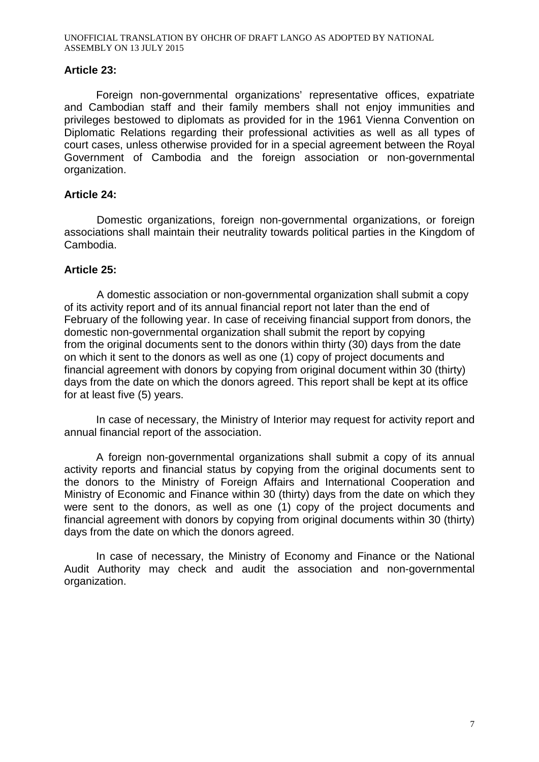## **Article 23:**

Foreign non-governmental organizations' representative offices, expatriate and Cambodian staff and their family members shall not enjoy immunities and privileges bestowed to diplomats as provided for in the 1961 Vienna Convention on Diplomatic Relations regarding their professional activities as well as all types of court cases, unless otherwise provided for in a special agreement between the Royal Government of Cambodia and the foreign association or non-governmental organization.

## **Article 24:**

Domestic organizations, foreign non-governmental organizations, or foreign associations shall maintain their neutrality towards political parties in the Kingdom of Cambodia.

## **Article 25:**

A domestic association or non-governmental organization shall submit a copy of its activity report and of its annual financial report not later than the end of February of the following year. In case of receiving financial support from donors, the domestic non-governmental organization shall submit the report by copying from the original documents sent to the donors within thirty (30) days from the date on which it sent to the donors as well as one (1) copy of project documents and financial agreement with donors by copying from original document within 30 (thirty) days from the date on which the donors agreed. This report shall be kept at its office for at least five (5) years.

In case of necessary, the Ministry of Interior may request for activity report and annual financial report of the association.

A foreign non-governmental organizations shall submit a copy of its annual activity reports and financial status by copying from the original documents sent to the donors to the Ministry of Foreign Affairs and International Cooperation and Ministry of Economic and Finance within 30 (thirty) days from the date on which they were sent to the donors, as well as one (1) copy of the project documents and financial agreement with donors by copying from original documents within 30 (thirty) days from the date on which the donors agreed.

In case of necessary, the Ministry of Economy and Finance or the National Audit Authority may check and audit the association and non-governmental organization.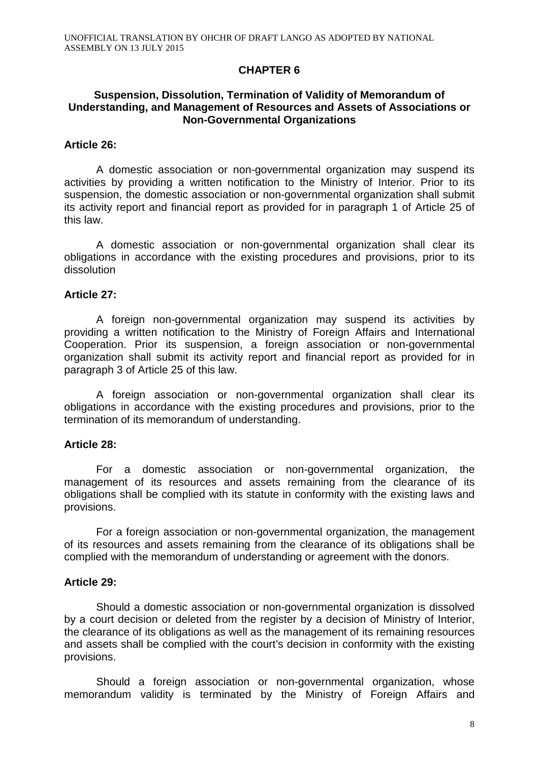## **CHAPTER 6**

#### **Suspension, Dissolution, Termination of Validity of Memorandum of Understanding, and Management of Resources and Assets of Associations or Non-Governmental Organizations**

#### **Article 26:**

A domestic association or non-governmental organization may suspend its activities by providing a written notification to the Ministry of Interior. Prior to its suspension, the domestic association or non-governmental organization shall submit its activity report and financial report as provided for in paragraph 1 of Article 25 of this law.

A domestic association or non-governmental organization shall clear its obligations in accordance with the existing procedures and provisions, prior to its dissolution

#### **Article 27:**

A foreign non-governmental organization may suspend its activities by providing a written notification to the Ministry of Foreign Affairs and International Cooperation. Prior its suspension, a foreign association or non-governmental organization shall submit its activity report and financial report as provided for in paragraph 3 of Article 25 of this law.

A foreign association or non-governmental organization shall clear its obligations in accordance with the existing procedures and provisions, prior to the termination of its memorandum of understanding.

#### **Article 28:**

For a domestic association or non-governmental organization, the management of its resources and assets remaining from the clearance of its obligations shall be complied with its statute in conformity with the existing laws and provisions.

For a foreign association or non-governmental organization, the management of its resources and assets remaining from the clearance of its obligations shall be complied with the memorandum of understanding or agreement with the donors.

## **Article 29:**

Should a domestic association or non-governmental organization is dissolved by a court decision or deleted from the register by a decision of Ministry of Interior, the clearance of its obligations as well as the management of its remaining resources and assets shall be complied with the court's decision in conformity with the existing provisions.

Should a foreign association or non-governmental organization, whose memorandum validity is terminated by the Ministry of Foreign Affairs and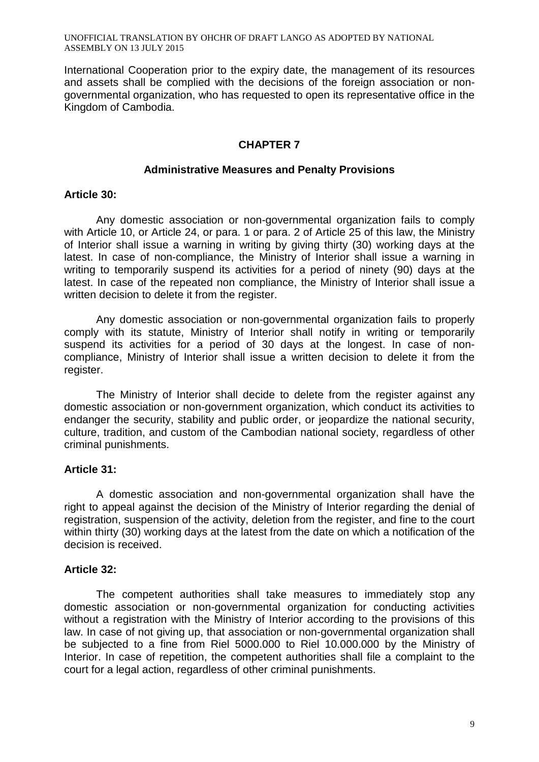UNOFFICIAL TRANSLATION BY OHCHR OF DRAFT LANGO AS ADOPTED BY NATIONAL ASSEMBLY ON 13 JULY 2015

International Cooperation prior to the expiry date, the management of its resources and assets shall be complied with the decisions of the foreign association or nongovernmental organization, who has requested to open its representative office in the Kingdom of Cambodia.

## **CHAPTER 7**

#### **Administrative Measures and Penalty Provisions**

#### **Article 30:**

Any domestic association or non-governmental organization fails to comply with Article 10, or Article 24, or para. 1 or para. 2 of Article 25 of this law, the Ministry of Interior shall issue a warning in writing by giving thirty (30) working days at the latest. In case of non-compliance, the Ministry of Interior shall issue a warning in writing to temporarily suspend its activities for a period of ninety (90) days at the latest. In case of the repeated non compliance, the Ministry of Interior shall issue a written decision to delete it from the register.

Any domestic association or non-governmental organization fails to properly comply with its statute, Ministry of Interior shall notify in writing or temporarily suspend its activities for a period of 30 days at the longest. In case of noncompliance, Ministry of Interior shall issue a written decision to delete it from the register.

The Ministry of Interior shall decide to delete from the register against any domestic association or non-government organization, which conduct its activities to endanger the security, stability and public order, or jeopardize the national security, culture, tradition, and custom of the Cambodian national society, regardless of other criminal punishments.

## **Article 31:**

A domestic association and non-governmental organization shall have the right to appeal against the decision of the Ministry of Interior regarding the denial of registration, suspension of the activity, deletion from the register, and fine to the court within thirty (30) working days at the latest from the date on which a notification of the decision is received.

## **Article 32:**

The competent authorities shall take measures to immediately stop any domestic association or non-governmental organization for conducting activities without a registration with the Ministry of Interior according to the provisions of this law. In case of not giving up, that association or non-governmental organization shall be subjected to a fine from Riel 5000.000 to Riel 10.000.000 by the Ministry of Interior. In case of repetition, the competent authorities shall file a complaint to the court for a legal action, regardless of other criminal punishments.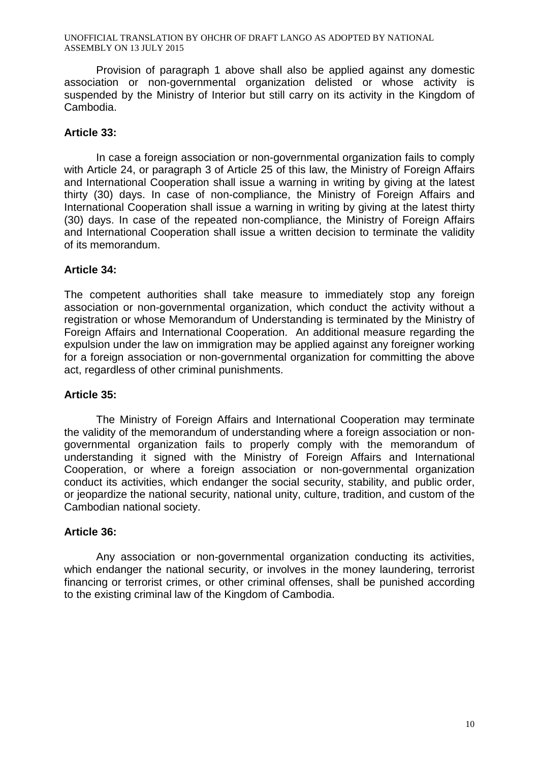UNOFFICIAL TRANSLATION BY OHCHR OF DRAFT LANGO AS ADOPTED BY NATIONAL ASSEMBLY ON 13 JULY 2015

Provision of paragraph 1 above shall also be applied against any domestic association or non-governmental organization delisted or whose activity is suspended by the Ministry of Interior but still carry on its activity in the Kingdom of Cambodia.

## **Article 33:**

In case a foreign association or non-governmental organization fails to comply with Article 24, or paragraph 3 of Article 25 of this law, the Ministry of Foreign Affairs and International Cooperation shall issue a warning in writing by giving at the latest thirty (30) days. In case of non-compliance, the Ministry of Foreign Affairs and International Cooperation shall issue a warning in writing by giving at the latest thirty (30) days. In case of the repeated non-compliance, the Ministry of Foreign Affairs and International Cooperation shall issue a written decision to terminate the validity of its memorandum.

## **Article 34:**

The competent authorities shall take measure to immediately stop any foreign association or non-governmental organization, which conduct the activity without a registration or whose Memorandum of Understanding is terminated by the Ministry of Foreign Affairs and International Cooperation. An additional measure regarding the expulsion under the law on immigration may be applied against any foreigner working for a foreign association or non-governmental organization for committing the above act, regardless of other criminal punishments.

## **Article 35:**

The Ministry of Foreign Affairs and International Cooperation may terminate the validity of the memorandum of understanding where a foreign association or nongovernmental organization fails to properly comply with the memorandum of understanding it signed with the Ministry of Foreign Affairs and International Cooperation, or where a foreign association or non-governmental organization conduct its activities, which endanger the social security, stability, and public order, or jeopardize the national security, national unity, culture, tradition, and custom of the Cambodian national society.

## **Article 36:**

Any association or non-governmental organization conducting its activities, which endanger the national security, or involves in the money laundering, terrorist financing or terrorist crimes, or other criminal offenses, shall be punished according to the existing criminal law of the Kingdom of Cambodia.